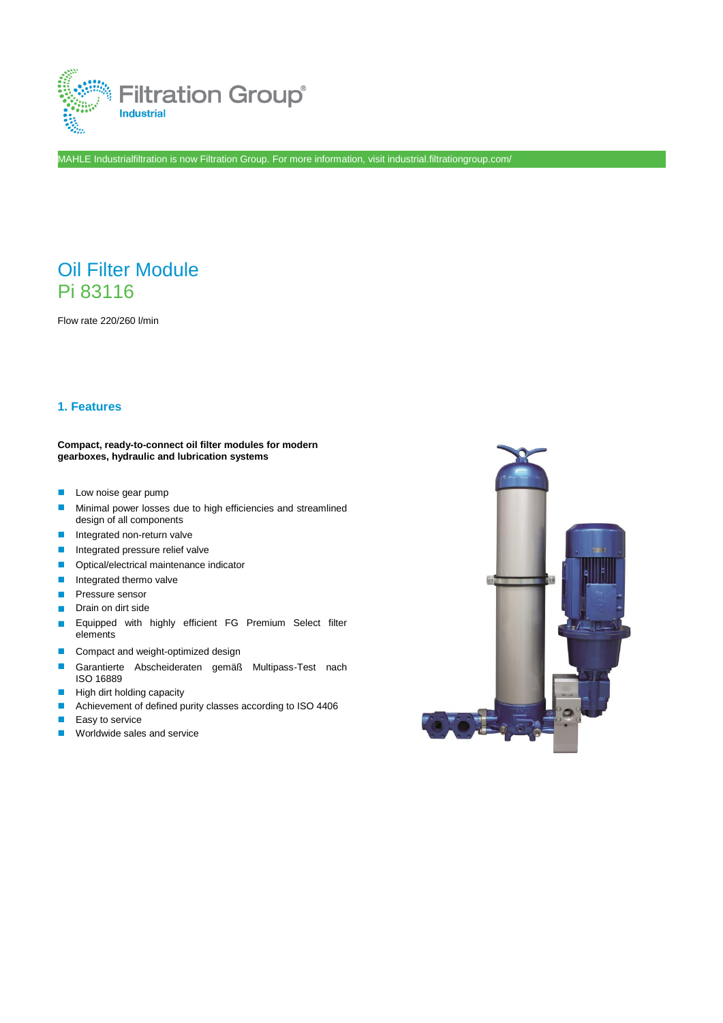

MAHLE Industrialfiltration is now Filtration Group. For more information, visit industrial.filtrationgroup.com/

# Oil Filter Module Pi 83116

Flow rate 220/260 l/min

## **1. Features**

#### **Compact, ready-to-connect oil filter modules for modern gearboxes, hydraulic and lubrication systems**

- **Low noise gear pump**
- **Minimal power losses due to high efficiencies and streamlined** design of all components
- **Integrated non-return valve**
- **Integrated pressure relief valve**
- **Optical/electrical maintenance indicator**
- **Integrated thermo valve**
- **Pressure sensor**
- Drain on dirt side
- **Equipped with highly efficient FG Premium Select filter** elements
- Compact and weight-optimized design
- Garantierte Abscheideraten gemäß Multipass-Test nach ISO 16889
- $\blacksquare$  High dirt holding capacity
- Achievement of defined purity classes according to ISO 4406
- Easy to service
- **Worldwide sales and service**

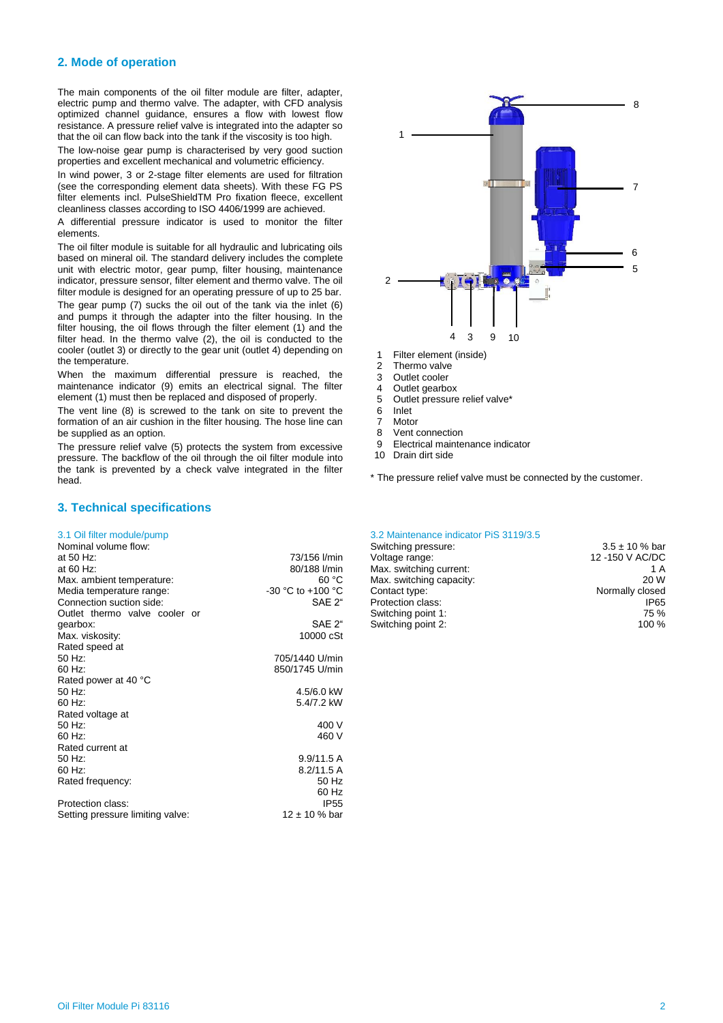### **2. Mode of operation**

The main components of the oil filter module are filter, adapter, electric pump and thermo valve. The adapter, with CFD analysis optimized channel guidance, ensures a flow with lowest flow resistance. A pressure relief valve is integrated into the adapter so that the oil can flow back into the tank if the viscosity is too high.

The low-noise gear pump is characterised by very good suction properties and excellent mechanical and volumetric efficiency.

In wind power, 3 or 2-stage filter elements are used for filtration (see the corresponding element data sheets). With these FG PS filter elements incl. PulseShieldTM Pro fixation fleece, excellent cleanliness classes according to ISO 4406/1999 are achieved.

A differential pressure indicator is used to monitor the filter elements.

The oil filter module is suitable for all hydraulic and lubricating oils based on mineral oil. The standard delivery includes the complete unit with electric motor, gear pump, filter housing, maintenance indicator, pressure sensor, filter element and thermo valve. The oil filter module is designed for an operating pressure of up to 25 bar. The gear pump (7) sucks the oil out of the tank via the inlet (6) and pumps it through the adapter into the filter housing. In the filter housing, the oil flows through the filter element (1) and the filter head. In the thermo valve (2), the oil is conducted to the cooler (outlet 3) or directly to the gear unit (outlet 4) depending on

the temperature. When the maximum differential pressure is reached, the maintenance indicator (9) emits an electrical signal. The filter element (1) must then be replaced and disposed of properly.

The vent line (8) is screwed to the tank on site to prevent the formation of an air cushion in the filter housing. The hose line can be supplied as an option.

The pressure relief valve (5) protects the system from excessive pressure. The backflow of the oil through the oil filter module into the tank is prevented by a check valve integrated in the filter head.

#### **3. Technical specifications**

| Nominal volume flow:             |                   |
|----------------------------------|-------------------|
| at 50 Hz:                        | 73/156 l/min      |
| at 60 Hz:                        | 80/188 l/min      |
| Max. ambient temperature:        | 60 °C             |
| Media temperature range:         | -30 °C to +100 °C |
| Connection suction side:         | SAE 2"            |
| Outlet thermo valve cooler or    |                   |
| gearbox:                         | SAE 2"            |
| Max. viskosity:                  | 10000 cSt         |
| Rated speed at                   |                   |
| 50 Hz:                           | 705/1440 U/min    |
| 60 Hz:                           | 850/1745 U/min    |
| Rated power at 40 °C             |                   |
| 50 Hz:                           | 4.5/6.0 kW        |
| 60 Hz:                           | 5.4/7.2 kW        |
| Rated voltage at                 |                   |
| 50 Hz:                           | 400 V             |
| 60 Hz:                           | 460 V             |
| Rated current at                 |                   |
| 50 Hz:                           | 9.9/11.5 A        |
| 60 Hz:                           | 8.2/11.5A         |
| Rated frequency:                 | 50 Hz             |
|                                  | 60 Hz             |
| Protection class:                | IP55              |
| Setting pressure limiting valve: | $12 \pm 10$ % bar |
|                                  |                   |



- 1 Filter element (inside)
- 2 Thermo valve
- 3 Outlet cooler
- 4 Outlet gearbox
- Outlet pressure relief valve\*
- 6 Inlet
- 7 Motor
- 8 Vent connection<br>9 Electrical mainte 9 Electrical maintenance indicator
- 10 Drain dirt side
- \* The pressure relief valve must be connected by the customer.

#### 3.1 Oil filter module/pump 3.2 Maintenance indicator PiS 3119/3.5

| Nominal volume flow:          |                   | Switching pressure:      | $3.5 \pm 10$ % bar |
|-------------------------------|-------------------|--------------------------|--------------------|
| at 50 Hz:                     | 73/156 l/min      | Voltage range:           | 12 -150 V AC/DC    |
| at 60 Hz:                     | 80/188 l/min      | Max. switching current:  | 1 A                |
| Max. ambient temperature:     | 60 °C             | Max. switching capacity: | 20 W               |
| Media temperature range:      | -30 °C to +100 °C | Contact type:            | Normally closed    |
| Connection suction side:      | SAE 2"            | Protection class:        | IP65               |
| Outlet thermo valve cooler or |                   | Switching point 1:       | 75 %               |
| gearbox:                      | SAE 2"            | Switching point 2:       | 100 %              |
|                               |                   |                          |                    |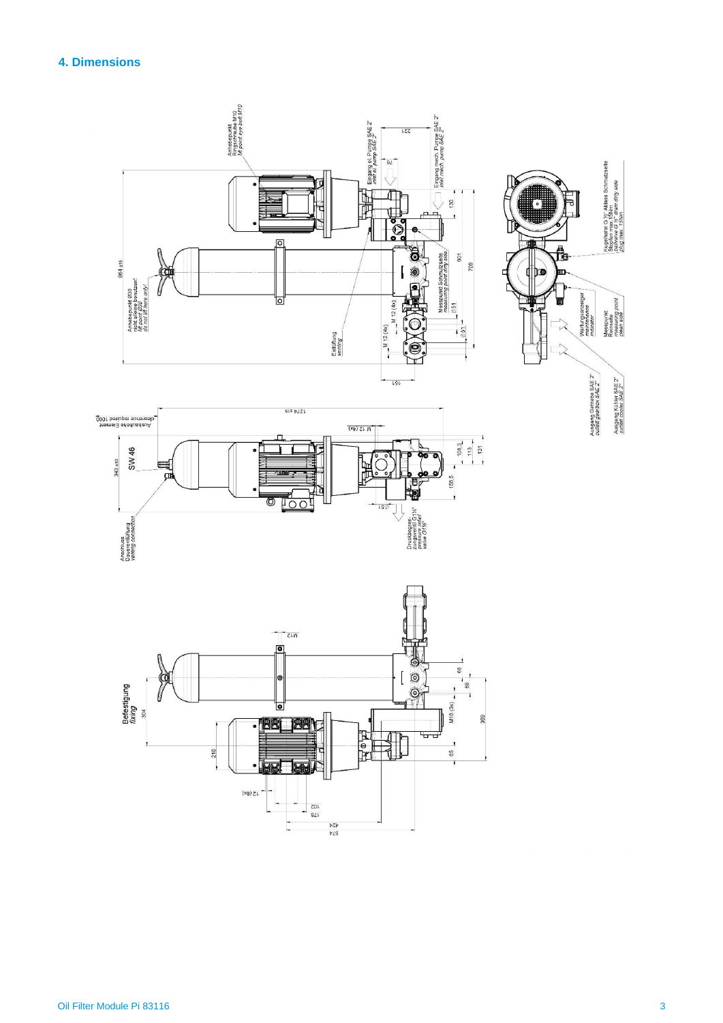# **4. Dimensions**



Ausgang Getriebe SAE 2" Ausgang Kühler SAE 2"<br>outlett cooler SAE 2"

Kugelhahn G ⊁″ Aalass Schmutzseite<br>Stopfen max / SNm<br>*balvaive G ½" drain dirty side*<br>,*plug max 15Nm* 

point

Messpunkt<br>Reinseite<br>measuring p<br>clean side